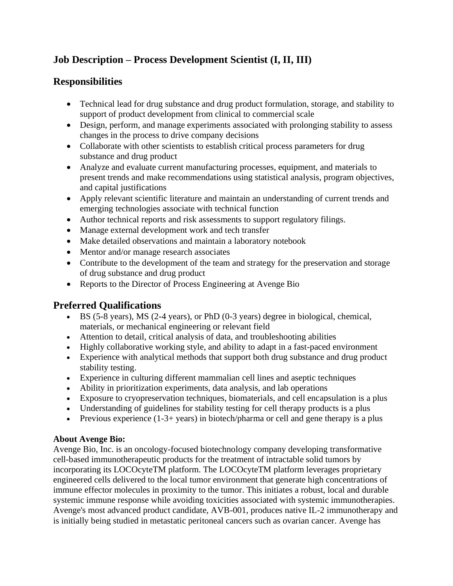## **Job Description – Process Development Scientist (I, II, III)**

## **Responsibilities**

- Technical lead for drug substance and drug product formulation, storage, and stability to support of product development from clinical to commercial scale
- Design, perform, and manage experiments associated with prolonging stability to assess changes in the process to drive company decisions
- Collaborate with other scientists to establish critical process parameters for drug substance and drug product
- Analyze and evaluate current manufacturing processes, equipment, and materials to present trends and make recommendations using statistical analysis, program objectives, and capital justifications
- Apply relevant scientific literature and maintain an understanding of current trends and emerging technologies associate with technical function
- Author technical reports and risk assessments to support regulatory filings.
- Manage external development work and tech transfer
- Make detailed observations and maintain a laboratory notebook
- Mentor and/or manage research associates
- Contribute to the development of the team and strategy for the preservation and storage of drug substance and drug product
- Reports to the Director of Process Engineering at Avenge Bio

## **Preferred Qualifications**

- BS (5-8 years), MS (2-4 years), or PhD (0-3 years) degree in biological, chemical, materials, or mechanical engineering or relevant field
- Attention to detail, critical analysis of data, and troubleshooting abilities
- Highly collaborative working style, and ability to adapt in a fast-paced environment
- Experience with analytical methods that support both drug substance and drug product stability testing.
- Experience in culturing different mammalian cell lines and aseptic techniques
- Ability in prioritization experiments, data analysis, and lab operations
- Exposure to cryopreservation techniques, biomaterials, and cell encapsulation is a plus
- Understanding of guidelines for stability testing for cell therapy products is a plus
- Previous experience  $(1-3+)$  ears) in biotech/pharma or cell and gene therapy is a plus

## **About Avenge Bio:**

Avenge Bio, Inc. is an oncology-focused biotechnology company developing transformative cell-based immunotherapeutic products for the treatment of intractable solid tumors by incorporating its LOCOcyteTM platform. The LOCOcyteTM platform leverages proprietary engineered cells delivered to the local tumor environment that generate high concentrations of immune effector molecules in proximity to the tumor. This initiates a robust, local and durable systemic immune response while avoiding toxicities associated with systemic immunotherapies. Avenge's most advanced product candidate, AVB-001, produces native IL-2 immunotherapy and is initially being studied in metastatic peritoneal cancers such as ovarian cancer. Avenge has